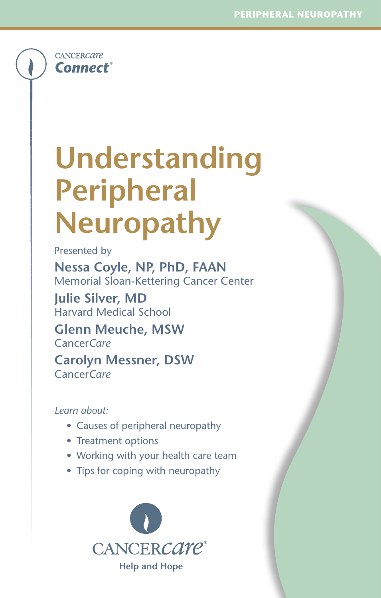**CANCERCATE Connect**®

# **Understanding Peripheral Neuropathy**

Presented by

**Nessa Coyle, NP, PhD, FAAN** Memorial Sloan-Kettering Cancer Center

**Julie Silver, MD** Harvard Medical School

**Glenn Meuche, MSW** Cancer*Care*

**Carolyn Messner, DSW** Cancer*Care*

### *Learn about:*

- Causes of peripheral neuropathy
- Treatment options
- Working with your health care team
- Tips for coping with neuropathy

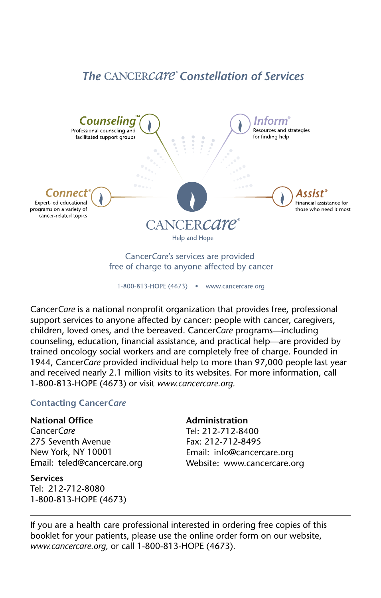### **The CANCERCATE** Constellation of Services



1-800-813-HOPE (4673) . www.cancercare.org

Cancer*Care* is a national nonprofit organization that provides free, professional support services to anyone affected by cancer: people with cancer, caregivers, children, loved ones, and the bereaved. Cancer*Care* programs—including counseling, education, financial assistance, and practical help—are provided by trained oncology social workers and are completely free of charge. Founded in 1944, Cancer*Care* provided individual help to more than 97,000 people last year and received nearly 2.1 million visits to its websites. For more information, call 1-800-813-HOPE (4673) or visit *www.cancercare.org.*

### **Contacting Cancer***Care*

#### **National Office**

Cancer*Care* 275 Seventh Avenue New York, NY 10001 Email: teled@cancercare.org

### **Services**

Tel: 212-712-8080 1-800-813-HOPE (4673)

#### **Administration**

Tel: 212-712-8400 Fax: 212-712-8495 Email: info@cancercare.org Website: www.cancercare.org

If you are a health care professional interested in ordering free copies of this booklet for your patients, please use the online order form on our website, *www.cancercare.org,* or call 1-800-813-HOPE (4673).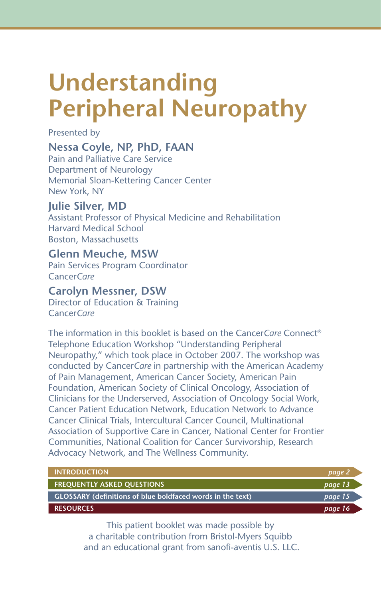## **Understanding Peripheral Neuropathy**

Presented by

### **Nessa Coyle, NP, PhD, FAAN**

Pain and Palliative Care Service Department of Neurology Memorial Sloan-Kettering Cancer Center New York, NY

### **Julie Silver, MD**

Assistant Professor of Physical Medicine and Rehabilitation Harvard Medical School Boston, Massachusetts

### **Glenn Meuche, MSW**

Pain Services Program Coordinator Cancer*Care*

### **Carolyn Messner, DSW**

Director of Education & Training Cancer*Care*

The information in this booklet is based on the Cancer*Care* Connect® Telephone Education Workshop "Understanding Peripheral Neuropathy," which took place in October 2007. The workshop was conducted by Cancer*Care* in partnership with the American Academy of Pain Management, American Cancer Society, American Pain Foundation, American Society of Clinical Oncology, Association of Clinicians for the Underserved, Association of Oncology Social Work, Cancer Patient Education Network, Education Network to Advance Cancer Clinical Trials, Intercultural Cancer Council, Multinational Association of Supportive Care in Cancer, National Center for Frontier Communities, National Coalition for Cancer Survivorship, Research Advocacy Network, and The Wellness Community.

| <b>INTRODUCTION</b>                                               | page 2  |
|-------------------------------------------------------------------|---------|
| <b>FREQUENTLY ASKED QUESTIONS</b>                                 | page 13 |
| <b>GLOSSARY (definitions of blue boldfaced words in the text)</b> | page 15 |
| <b>RESOURCES</b>                                                  | page 16 |

This patient booklet was made possible by a charitable contribution from Bristol-Myers Squibb and an educational grant from sanofi-aventis U.S. LLC.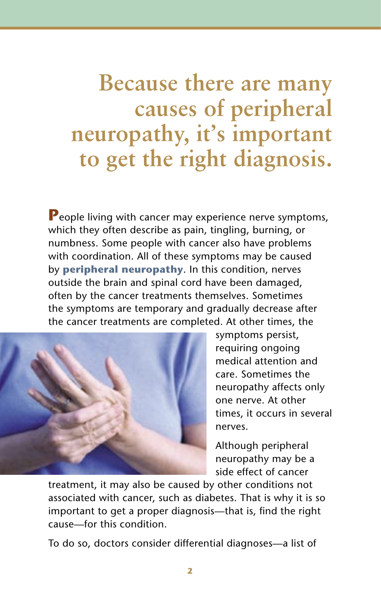**Because there are many causes of peripheral neuropathy, it's important to get the right diagnosis.**

**P**eople living with cancer may experience nerve symptoms, which they often describe as pain, tingling, burning, or numbness. Some people with cancer also have problems with coordination. All of these symptoms may be caused by **peripheral neuropathy**. In this condition, nerves outside the brain and spinal cord have been damaged, often by the cancer treatments themselves. Sometimes the symptoms are temporary and gradually decrease after the cancer treatments are completed. At other times, the



symptoms persist, requiring ongoing medical attention and care. Sometimes the neuropathy affects only one nerve. At other times, it occurs in several nerves.

Although peripheral neuropathy may be a side effect of cancer

treatment, it may also be caused by other conditions not associated with cancer, such as diabetes. That is why it is so important to get a proper diagnosis—that is, find the right cause—for this condition.

To do so, doctors consider differential diagnoses—a list of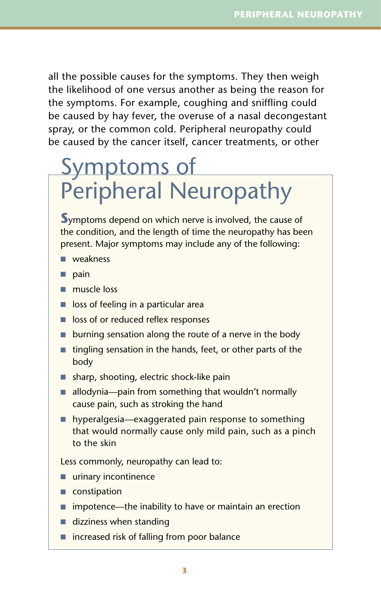all the possible causes for the symptoms. They then weigh the likelihood of one versus another as being the reason for the symptoms. For example, coughing and sniffling could be caused by hay fever, the overuse of a nasal decongestant spray, or the common cold. Peripheral neuropathy could be caused by the cancer itself, cancer treatments, or other

## Symptoms of Peripheral Neuropathy

**S**ymptoms depend on which nerve is involved, the cause of the condition, and the length of time the neuropathy has been present. Major symptoms may include any of the following:

- weakness
- pain
- muscle loss
- loss of feeling in a particular area
- loss of or reduced reflex responses
- burning sensation along the route of a nerve in the body
- tingling sensation in the hands, feet, or other parts of the body
- sharp, shooting, electric shock-like pain
- allodynia—pain from something that wouldn't normally cause pain, such as stroking the hand
- hyperalgesia—exaggerated pain response to something that would normally cause only mild pain, such as a pinch to the skin

Less commonly, neuropathy can lead to:

- urinary incontinence
- constipation
- impotence—the inability to have or maintain an erection
- dizziness when standing
- increased risk of falling from poor balance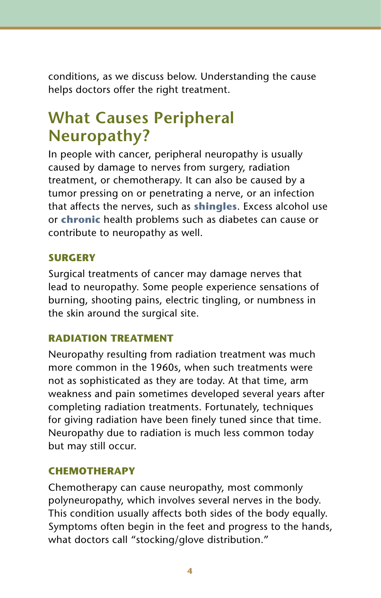conditions, as we discuss below. Understanding the cause helps doctors offer the right treatment.

### **What Causes Peripheral Neuropathy?**

In people with cancer, peripheral neuropathy is usually caused by damage to nerves from surgery, radiation treatment, or chemotherapy. It can also be caused by a tumor pressing on or penetrating a nerve, or an infection that affects the nerves, such as **shingles**. Excess alcohol use or **chronic** health problems such as diabetes can cause or contribute to neuropathy as well.

### **SURGERY**

Surgical treatments of cancer may damage nerves that lead to neuropathy. Some people experience sensations of burning, shooting pains, electric tingling, or numbness in the skin around the surgical site.

### **RADIATION TREATMENT**

Neuropathy resulting from radiation treatment was much more common in the 1960s, when such treatments were not as sophisticated as they are today. At that time, arm weakness and pain sometimes developed several years after completing radiation treatments. Fortunately, techniques for giving radiation have been finely tuned since that time. Neuropathy due to radiation is much less common today but may still occur.

### **CHEMOTHERAPY**

Chemotherapy can cause neuropathy, most commonly polyneuropathy, which involves several nerves in the body. This condition usually affects both sides of the body equally. Symptoms often begin in the feet and progress to the hands, what doctors call "stocking/glove distribution."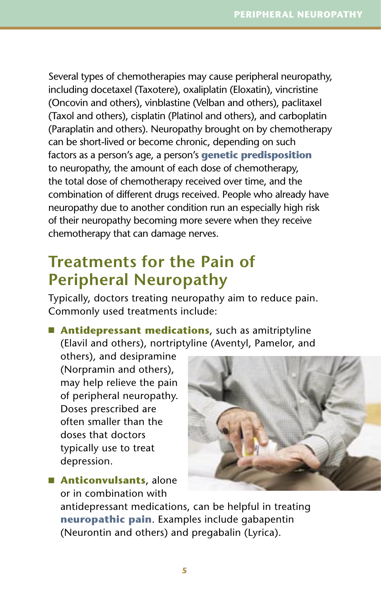Several types of chemotherapies may cause peripheral neuropathy, including docetaxel (Taxotere), oxaliplatin (Eloxatin), vincristine (Oncovin and others), vinblastine (Velban and others), paclitaxel (Taxol and others), cisplatin (Platinol and others), and carboplatin (Paraplatin and others). Neuropathy brought on by chemotherapy can be short-lived or become chronic, depending on such factors as a person's age, a person's **genetic predisposition** to neuropathy, the amount of each dose of chemotherapy, the total dose of chemotherapy received over time, and the combination of different drugs received. People who already have neuropathy due to another condition run an especially high risk of their neuropathy becoming more severe when they receive chemotherapy that can damage nerves.

### **Treatments for the Pain of Peripheral Neuropathy**

Typically, doctors treating neuropathy aim to reduce pain. Commonly used treatments include:

■ **Antidepressant medications**, such as amitriptyline (Elavil and others), nortriptyline (Aventyl, Pamelor, and

others), and desipramine (Norpramin and others), may help relieve the pain of peripheral neuropathy. Doses prescribed are often smaller than the doses that doctors typically use to treat depression.

■ **Anticonvulsants**, alone or in combination with

antidepressant medications, can be helpful in treating **neuropathic pain**. Examples include gabapentin (Neurontin and others) and pregabalin (Lyrica).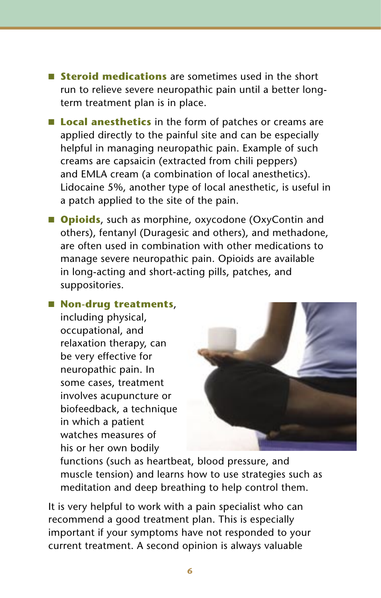- **Steroid medications** are sometimes used in the short run to relieve severe neuropathic pain until a better longterm treatment plan is in place.
- **Local anesthetics** in the form of patches or creams are applied directly to the painful site and can be especially helpful in managing neuropathic pain. Example of such creams are capsaicin (extracted from chili peppers) and EMLA cream (a combination of local anesthetics). Lidocaine 5%, another type of local anesthetic, is useful in a patch applied to the site of the pain.
- **Opioids**, such as morphine, oxycodone (OxyContin and others), fentanyl (Duragesic and others), and methadone, are often used in combination with other medications to manage severe neuropathic pain. Opioids are available in long-acting and short-acting pills, patches, and suppositories.

### ■ **Non-drug treatments**,

including physical, occupational, and relaxation therapy, can be very effective for neuropathic pain. In some cases, treatment involves acupuncture or biofeedback, a technique in which a patient watches measures of his or her own bodily



functions (such as heartbeat, blood pressure, and muscle tension) and learns how to use strategies such as meditation and deep breathing to help control them.

It is very helpful to work with a pain specialist who can recommend a good treatment plan. This is especially important if your symptoms have not responded to your current treatment. A second opinion is always valuable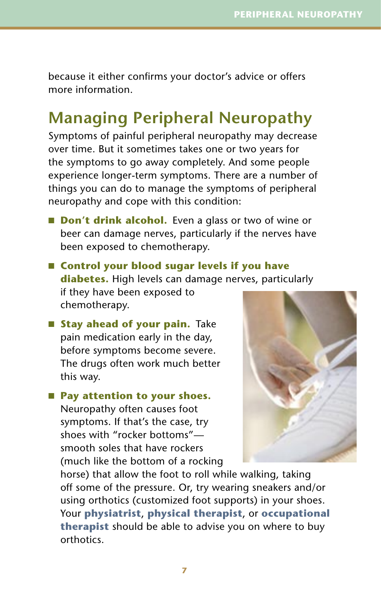because it either confirms your doctor's advice or offers more information.

### **Managing Peripheral Neuropathy**

Symptoms of painful peripheral neuropathy may decrease over time. But it sometimes takes one or two years for the symptoms to go away completely. And some people experience longer-term symptoms. There are a number of things you can do to manage the symptoms of peripheral neuropathy and cope with this condition:

- **Don't drink alcohol.** Even a glass or two of wine or beer can damage nerves, particularly if the nerves have been exposed to chemotherapy.
- **Control your blood sugar levels if you have diabetes.** High levels can damage nerves, particularly if they have been exposed to chemotherapy.
- **Stay ahead of your pain.** Take pain medication early in the day, before symptoms become severe. The drugs often work much better this way.

■ Pay attention to your shoes. Neuropathy often causes foot symptoms. If that's the case, try shoes with "rocker bottoms" smooth soles that have rockers (much like the bottom of a rocking



horse) that allow the foot to roll while walking, taking off some of the pressure. Or, try wearing sneakers and/or using orthotics (customized foot supports) in your shoes. Your **physiatrist**, **physical therapist**, or **occupational therapist** should be able to advise you on where to buy orthotics.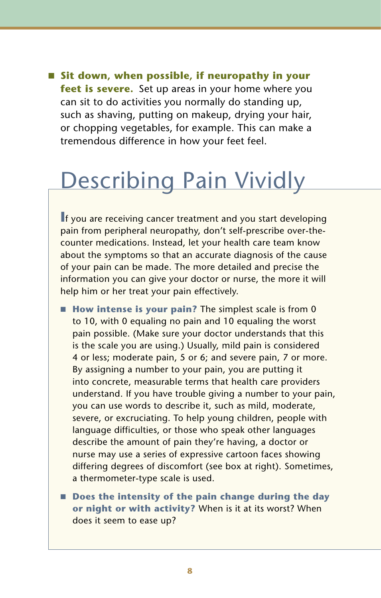■ Sit down, when possible, if neuropathy in your **feet is severe.** Set up areas in your home where you can sit to do activities you normally do standing up, such as shaving, putting on makeup, drying your hair, or chopping vegetables, for example. This can make a tremendous difference in how your feet feel.

## Describing Pain Vividly

**I**f you are receiving cancer treatment and you start developing pain from peripheral neuropathy, don't self-prescribe over-thecounter medications. Instead, let your health care team know about the symptoms so that an accurate diagnosis of the cause of your pain can be made. The more detailed and precise the information you can give your doctor or nurse, the more it will help him or her treat your pain effectively.

- **How intense is your pain?** The simplest scale is from 0 to 10, with 0 equaling no pain and 10 equaling the worst pain possible. (Make sure your doctor understands that this is the scale you are using.) Usually, mild pain is considered 4 or less; moderate pain, 5 or 6; and severe pain, 7 or more. By assigning a number to your pain, you are putting it into concrete, measurable terms that health care providers understand. If you have trouble giving a number to your pain, you can use words to describe it, such as mild, moderate, severe, or excruciating. To help young children, people with language difficulties, or those who speak other languages describe the amount of pain they're having, a doctor or nurse may use a series of expressive cartoon faces showing differing degrees of discomfort (see box at right). Sometimes, a thermometer-type scale is used.
- **Does the intensity of the pain change during the day or night or with activity?** When is it at its worst? When does it seem to ease up?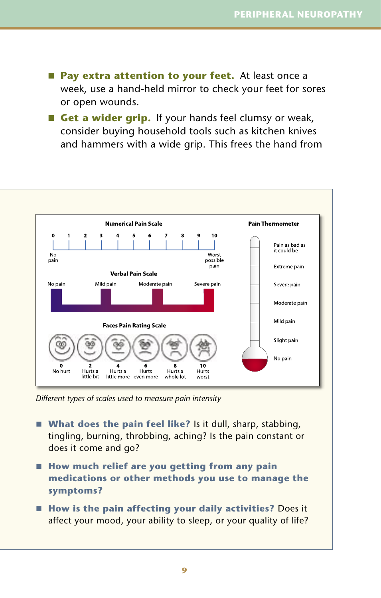- **Pay extra attention to your feet.** At least once a week, use a hand-held mirror to check your feet for sores or open wounds.
- **Get a wider grip.** If your hands feel clumsy or weak, consider buying household tools such as kitchen knives and hammers with a wide grip. This frees the hand from



*Different types of scales used to measure pain intensity*

- **What does the pain feel like?** Is it dull, sharp, stabbing, tingling, burning, throbbing, aching? Is the pain constant or does it come and go?
- **How much relief are you getting from any pain medications or other methods you use to manage the symptoms?**
- **How is the pain affecting your daily activities?** Does it affect your mood, your ability to sleep, or your quality of life?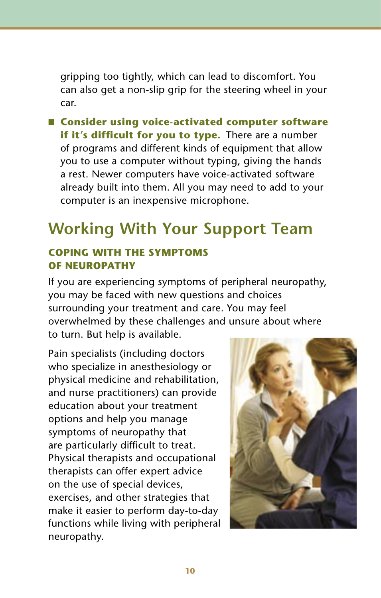gripping too tightly, which can lead to discomfort. You can also get a non-slip grip for the steering wheel in your car.

■ **Consider using voice-activated computer software if it's difficult for you to type.** There are a number of programs and different kinds of equipment that allow you to use a computer without typing, giving the hands a rest. Newer computers have voice-activated software already built into them. All you may need to add to your computer is an inexpensive microphone.

### **Working With Your Support Team**

### **COPING WITH THE SYMPTOMS OF NEUROPATHY**

If you are experiencing symptoms of peripheral neuropathy, you may be faced with new questions and choices surrounding your treatment and care. You may feel overwhelmed by these challenges and unsure about where to turn. But help is available.

Pain specialists (including doctors who specialize in anesthesiology or physical medicine and rehabilitation, and nurse practitioners) can provide education about your treatment options and help you manage symptoms of neuropathy that are particularly difficult to treat. Physical therapists and occupational therapists can offer expert advice on the use of special devices, exercises, and other strategies that make it easier to perform day-to-day functions while living with peripheral neuropathy.

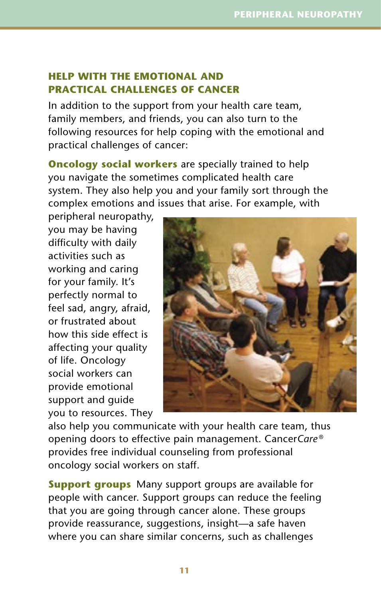### **HELP WITH THE EMOTIONAL AND PRACTICAL CHALLENGES OF CANCER**

In addition to the support from your health care team, family members, and friends, you can also turn to the following resources for help coping with the emotional and practical challenges of cancer:

**Oncology social workers** are specially trained to help you navigate the sometimes complicated health care system. They also help you and your family sort through the complex emotions and issues that arise. For example, with

peripheral neuropathy, you may be having difficulty with daily activities such as working and caring for your family. It's perfectly normal to feel sad, angry, afraid, or frustrated about how this side effect is affecting your quality of life. Oncology social workers can provide emotional support and guide you to resources. They



also help you communicate with your health care team, thus opening doors to effective pain management. Cancer*Care* ® provides free individual counseling from professional oncology social workers on staff.

**Support groups** Many support groups are available for people with cancer. Support groups can reduce the feeling that you are going through cancer alone. These groups provide reassurance, suggestions, insight—a safe haven where you can share similar concerns, such as challenges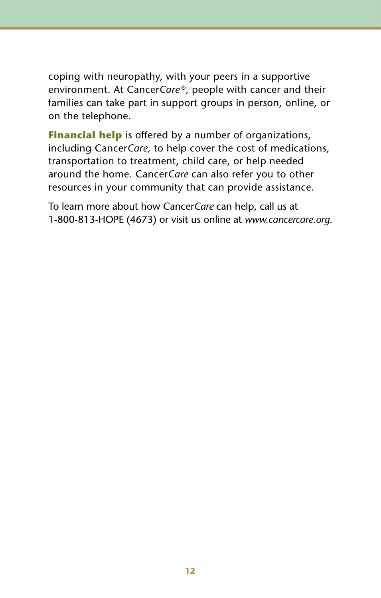coping with neuropathy, with your peers in a supportive environment. At Cancer*Care* ®*,* people with cancer and their families can take part in support groups in person, online, or on the telephone.

**Financial help** is offered by a number of organizations, including Cancer*Care,* to help cover the cost of medications, transportation to treatment, child care, or help needed around the home. Cancer*Care* can also refer you to other resources in your community that can provide assistance.

To learn more about how Cancer*Care* can help, call us at 1-800-813-HOPE (4673) or visit us online at *www.cancercare.org.*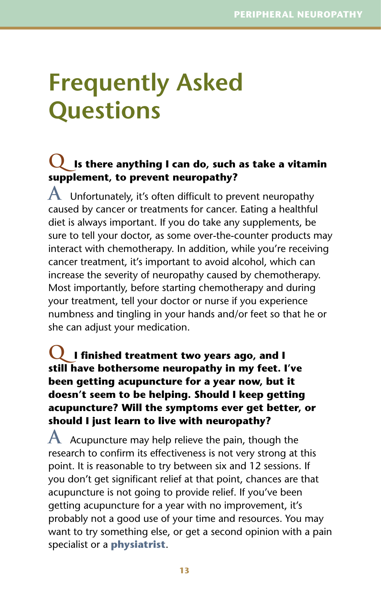## **Frequently Asked Questions**

### **Q Is there anything I can do, such as take a vitamin supplement, to prevent neuropathy?**

**A** Unfortunately, it's often difficult to prevent neuropathy caused by cancer or treatments for cancer. Eating a healthful diet is always important. If you do take any supplements, be sure to tell your doctor, as some over-the-counter products may interact with chemotherapy. In addition, while you're receiving cancer treatment, it's important to avoid alcohol, which can increase the severity of neuropathy caused by chemotherapy. Most importantly, before starting chemotherapy and during your treatment, tell your doctor or nurse if you experience numbness and tingling in your hands and/or feet so that he or she can adjust your medication.

### **Q I finished treatment two years ago, and I still have bothersome neuropathy in my feet. I've been getting acupuncture for a year now, but it doesn't seem to be helping. Should I keep getting acupuncture? Will the symptoms ever get better, or should I just learn to live with neuropathy?**

**A** Acupuncture may help relieve the pain, though the research to confirm its effectiveness is not very strong at this point. It is reasonable to try between six and 12 sessions. If you don't get significant relief at that point, chances are that acupuncture is not going to provide relief. If you've been getting acupuncture for a year with no improvement, it's probably not a good use of your time and resources. You may want to try something else, or get a second opinion with a pain specialist or a **physiatrist**.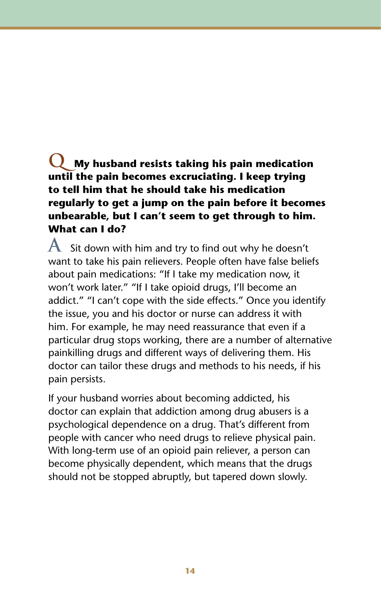### **Q My husband resists taking his pain medication until the pain becomes excruciating. I keep trying to tell him that he should take his medication regularly to get a jump on the pain before it becomes unbearable, but I can't seem to get through to him. What can I do?**

**A** Sit down with him and try to find out why he doesn't want to take his pain relievers. People often have false beliefs about pain medications: "If I take my medication now, it won't work later." "If I take opioid drugs, I'll become an addict." "I can't cope with the side effects." Once you identify the issue, you and his doctor or nurse can address it with him. For example, he may need reassurance that even if a particular drug stops working, there are a number of alternative painkilling drugs and different ways of delivering them. His doctor can tailor these drugs and methods to his needs, if his pain persists.

If your husband worries about becoming addicted, his doctor can explain that addiction among drug abusers is a psychological dependence on a drug. That's different from people with cancer who need drugs to relieve physical pain. With long-term use of an opioid pain reliever, a person can become physically dependent, which means that the drugs should not be stopped abruptly, but tapered down slowly.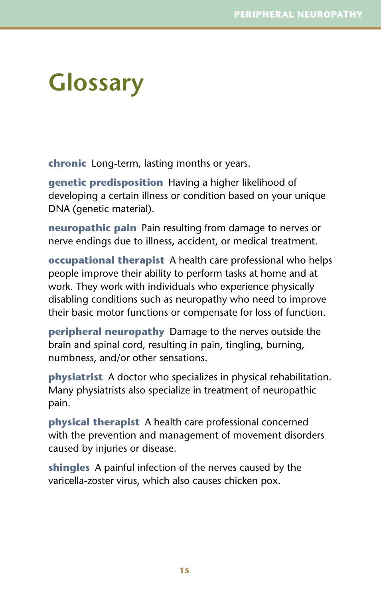## **Glossary**

**chronic** Long-term, lasting months or years.

**genetic predisposition** Having a higher likelihood of developing a certain illness or condition based on your unique DNA (genetic material).

**neuropathic pain** Pain resulting from damage to nerves or nerve endings due to illness, accident, or medical treatment.

**occupational therapist** A health care professional who helps people improve their ability to perform tasks at home and at work. They work with individuals who experience physically disabling conditions such as neuropathy who need to improve their basic motor functions or compensate for loss of function.

**peripheral neuropathy** Damage to the nerves outside the brain and spinal cord, resulting in pain, tingling, burning, numbness, and/or other sensations.

**physiatrist** A doctor who specializes in physical rehabilitation. Many physiatrists also specialize in treatment of neuropathic pain.

**physical therapist** A health care professional concerned with the prevention and management of movement disorders caused by injuries or disease.

**shingles** A painful infection of the nerves caused by the varicella-zoster virus, which also causes chicken pox.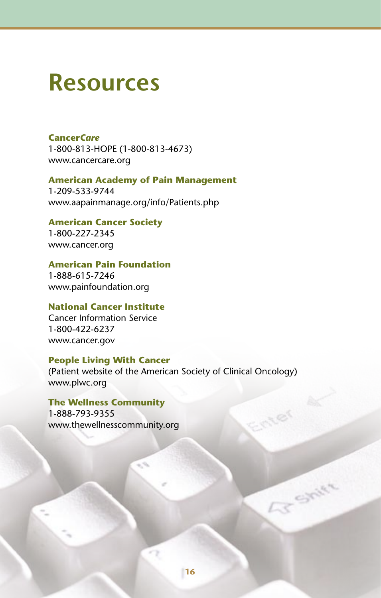### **Resources**

### **Cancer***Care* 1-800-813-HOPE (1-800-813-4673) www.cancercare.org

#### **American Academy of Pain Management** 1-209-533-9744

www.aapainmanage.org/info/Patients.php

### **American Cancer Society**

1-800-227-2345 www.cancer.org

#### **American Pain Foundation**

1-888-615-7246 www.painfoundation.org

### **National Cancer Institute**

Cancer Information Service 1-800-422-6237 www.cancer.gov

#### **People Living With Cancer**

(Patient website of the American Society of Clinical Oncology) www.plwc.org

### **The Wellness Community**

1-888-793-9355 www.thewellnesscommunity.org

**AT Shirt**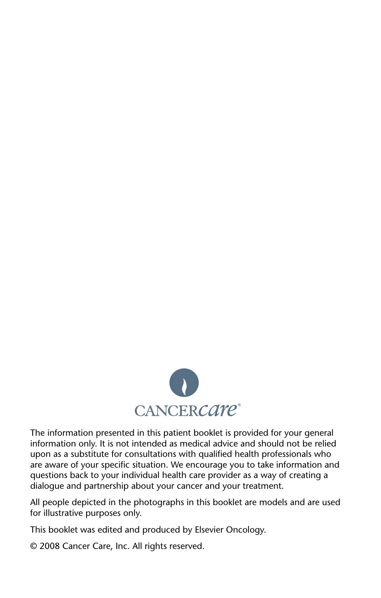

The information presented in this patient booklet is provided for your general information only. It is not intended as medical advice and should not be relied upon as a substitute for consultations with qualified health professionals who are aware of your specific situation. We encourage you to take information and questions back to your individual health care provider as a way of creating a dialogue and partnership about your cancer and your treatment.

All people depicted in the photographs in this booklet are models and are used for illustrative purposes only.

This booklet was edited and produced by Elsevier Oncology.

© 2008 Cancer Care, Inc. All rights reserved.